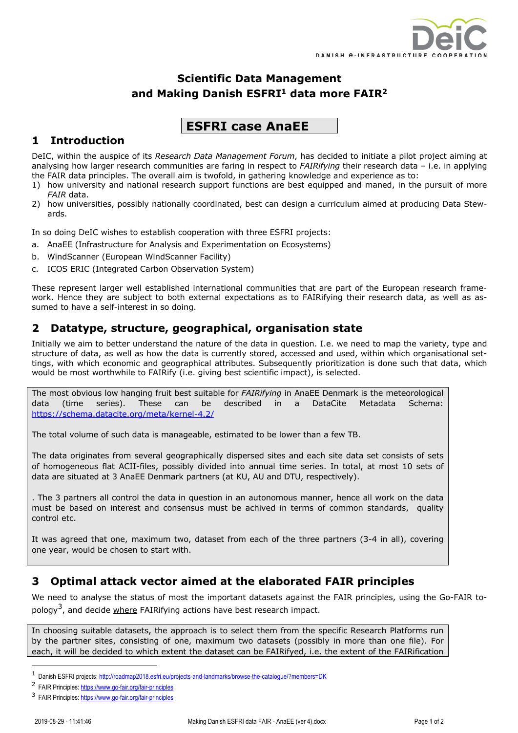

# **Scientific Data Management and Making Danish ESFRI1 data more FAIR2**

# **ESFRI case AnaEE**

### **1 Introduction**

DeIC, within the auspice of its *Research Data Management Forum*, has decided to initiate a pilot project aiming at analysing how larger research communities are faring in respect to *FAIRifying* their research data – i.e. in applying the FAIR data principles. The overall aim is twofold, in gathering knowledge and experience as to:

- 1) how university and national research support functions are best equipped and maned, in the pursuit of more *FAIR* data.
- 2) how universities, possibly nationally coordinated, best can design a curriculum aimed at producing Data Stewards.

In so doing DeIC wishes to establish cooperation with three ESFRI projects:

- a. AnaEE (Infrastructure for Analysis and Experimentation on Ecosystems)
- b. WindScanner (European WindScanner Facility)
- c. ICOS ERIC (Integrated Carbon Observation System)

These represent larger well established international communities that are part of the European research framework. Hence they are subject to both external expectations as to FAIRifying their research data, as well as assumed to have a self-interest in so doing.

#### **2 Datatype, structure, geographical, organisation state**

Initially we aim to better understand the nature of the data in question. I.e. we need to map the variety, type and structure of data, as well as how the data is currently stored, accessed and used, within which organisational settings, with which economic and geographical attributes. Subsequently prioritization is done such that data, which would be most worthwhile to FAIRify (i.e. giving best scientific impact), is selected.

The most obvious low hanging fruit best suitable for *FAIRifying* in AnaEE Denmark is the meteorological data (time series). These can be described in a DataCite Metadata Schema: https://schema.datacite.org/meta/kernel-4.2/

The total volume of such data is manageable, estimated to be lower than a few TB.

The data originates from several geographically dispersed sites and each site data set consists of sets of homogeneous flat ACII-files, possibly divided into annual time series. In total, at most 10 sets of data are situated at 3 AnaEE Denmark partners (at KU, AU and DTU, respectively).

. The 3 partners all control the data in question in an autonomous manner, hence all work on the data must be based on interest and consensus must be achived in terms of common standards, quality control etc.

It was agreed that one, maximum two, dataset from each of the three partners (3-4 in all), covering one year, would be chosen to start with.

#### **3 Optimal attack vector aimed at the elaborated FAIR principles**

We need to analyse the status of most the important datasets against the FAIR principles, using the Go-FAIR topology<sup>3</sup>, and decide where FAIRifying actions have best research impact.

In choosing suitable datasets, the approach is to select them from the specific Research Platforms run by the partner sites, consisting of one, maximum two datasets (possibly in more than one file). For each, it will be decided to which extent the dataset can be FAIRifyed, i.e. the extent of the FAIRification

<sup>1</sup> Danish ESFRI projects: http://roadmap2018.esfri.eu/projects-and-landmarks/browse-the-catalogue/?members=DK

<sup>2</sup> FAIR Principles: https://www.go-fair.org/fair-principles

<sup>3</sup> FAIR Principles: https://www.go-fair.org/fair-principles